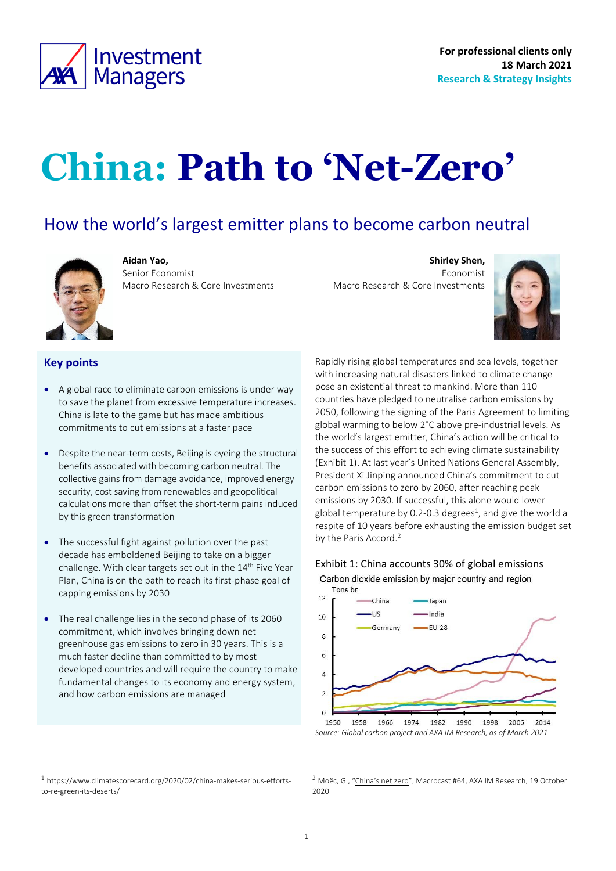

# **China: Path to 'Net-Zero'**

# How the world's largest emitter plans to become carbon neutral



**Aidan Yao,**  Senior Economist Macro Research & Core Investments

**Shirley Shen,** Economist Macro Research & Core Investments



# **Key points**

- A global race to eliminate carbon emissions is under way to save the planet from excessive temperature increases. China is late to the game but has made ambitious commitments to cut emissions at a faster pace
- Despite the near-term costs, Beijing is eyeing the structural benefits associated with becoming carbon neutral. The collective gains from damage avoidance, improved energy security, cost saving from renewables and geopolitical calculations more than offset the short-term pains induced by this green transformation
- The successful fight against pollution over the past decade has emboldened Beijing to take on a bigger challenge. With clear targets set out in the 14<sup>th</sup> Five Year Plan, China is on the path to reach its first-phase goal of capping emissions by 2030
- The real challenge lies in the second phase of its 2060 commitment, which involves bringing down net greenhouse gas emissions to zero in 30 years. This is a much faster decline than committed to by most developed countries and will require the country to make fundamental changes to its economy and energy system, and how carbon emissions are managed

Rapidly rising global temperatures and sea levels, together with increasing natural disasters linked to climate change pose an existential threat to mankind. More than 110 countries have pledged to neutralise carbon emissions by 2050, following the signing of the Paris Agreement to limiting global warming to below 2°C above pre-industrial levels. As the world's largest emitter, China's action will be critical to the success of this effort to achieving climate sustainability [\(Exhibit 1\)](#page-0-0). At last year's United Nations General Assembly, President Xi Jinping announced China's commitment to cut carbon emissions to zero by 2060, after reaching peak emissions by 2030. If successful, this alone would lower global temperature by 0.2-0.3 degrees<sup>1</sup>, and give the world a respite of 10 years before exhausting the emission budget set by the Paris Accord. 2

<span id="page-0-0"></span>



1 https://www.climatescorecard.org/2020/02/china-makes-serious-effortsto-re-green-its-deserts/

<sup>&</sup>lt;sup>2</sup> Moëc, G., ["China's net zero"](https://www.axa-im.com/en/content/-/asset_publisher/alpeXKk1gk2N/content/macrocast-64-china-s-net-zero/23818), Macrocast #64, AXA IM Research, 19 October 2020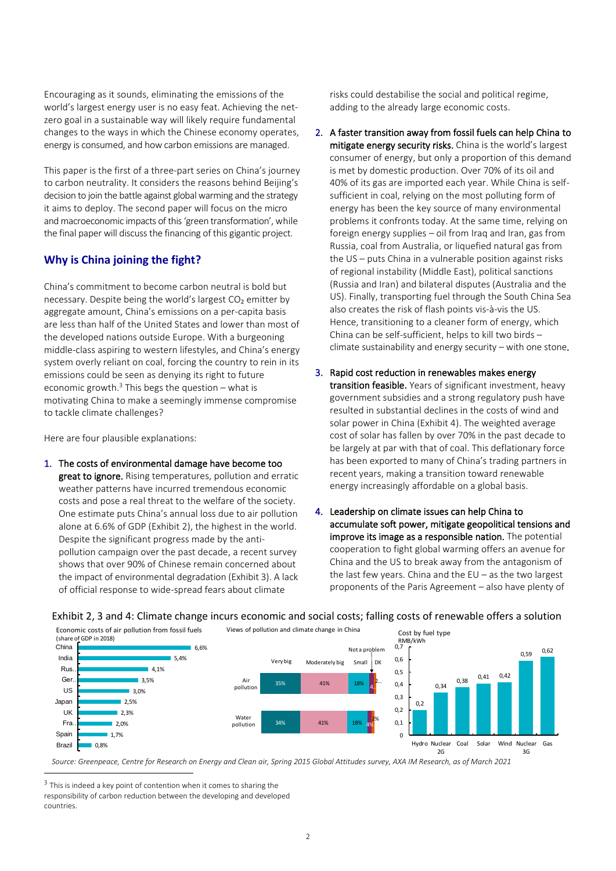Encouraging as it sounds, eliminating the emissions of the world's largest energy user is no easy feat. Achieving the netzero goal in a sustainable way will likely require fundamental changes to the ways in which the Chinese economy operates, energy is consumed, and how carbon emissions are managed.

This paper is the first of a three-part series on China's journey to carbon neutrality. It considers the reasons behind Beijing's decision to join the battle against global warming and the strategy it aims to deploy. The second paper will focus on the micro and macroeconomic impacts of this'green transformation', while the final paper will discussthe financing of this gigantic project.

# **Why is China joining the fight?**

China's commitment to become carbon neutral is bold but necessary. Despite being the world's largest CO<sub>2</sub> emitter by aggregate amount, China's emissions on a per-capita basis are less than half of the United States and lower than most of the developed nations outside Europe. With a burgeoning middle-class aspiring to western lifestyles, and China's energy system overly reliant on coal, forcing the country to rein in its emissions could be seen as denying its right to future economic growth. <sup>3</sup> This begs the question – what is motivating China to make a seemingly immense compromise to tackle climate challenges?

Here are four plausible explanations:

1. The costs of environmental damage have become too great to ignore. Rising temperatures, pollution and erratic weather patterns have incurred tremendous economic costs and pose a real threat to the welfare of the society. One estimate puts China's annual loss due to air pollution alone at 6.6% of GDP [\(Exhibit 2\)](#page-1-0), the highest in the world. Despite the significant progress made by the antipollution campaign over the past decade, a recent survey shows that over 90% of Chinese remain concerned about the impact of environmental degradation (Exhibit 3). A lack of official response to wide-spread fears about climate

risks could destabilise the social and political regime, adding to the already large economic costs.

- 2. A faster transition away from fossil fuels can help China to mitigate energy security risks. China is the world's largest consumer of energy, but only a proportion of this demand is met by domestic production. Over 70% of its oil and 40% of its gas are imported each year. While China is selfsufficient in coal, relying on the most polluting form of energy has been the key source of many environmental problems it confronts today. At the same time, relying on foreign energy supplies – oil from Iraq and Iran, gas from Russia, coal from Australia, or liquefied natural gas from the US – puts China in a vulnerable position against risks of regional instability (Middle East), political sanctions (Russia and Iran) and bilateral disputes (Australia and the US). Finally, transporting fuel through the South China Sea also creates the risk of flash points vis-à-vis the US. Hence, transitioning to a cleaner form of energy, which China can be self-sufficient, helps to kill two birds – climate sustainability and energy security – with one stone.
- 3. Rapid cost reduction in renewables makes energy transition feasible. Years of significant investment, heavy government subsidies and a strong regulatory push have resulted in substantial declines in the costs of wind and solar power in China (Exhibit 4). The weighted average cost of solar has fallen by over 70% in the past decade to be largely at par with that of coal. This deflationary force has been exported to many of China's trading partners in recent years, making a transition toward renewable energy increasingly affordable on a global basis.
- 4. Leadership on climate issues can help China to accumulate soft power, mitigate geopolitical tensions and improve its image as a responsible nation. The potential cooperation to fight global warming offers an avenue for China and the US to break away from the antagonism of the last few years. China and the  $EU - as$  the two largest proponents of the Paris Agreement – also have plenty of

<span id="page-1-0"></span>Exhibit 2, 3 and 4: Climate change incurs economic and social costs; falling costs of renewable offers a solution



*Source: Greenpeace, Centre for Research on Energy and Clean air, Spring 2015 Global Attitudes survey, AXA IM Research, as of March 2021*

 $3$  This is indeed a key point of contention when it comes to sharing the responsibility of carbon reduction between the developing and developed countries.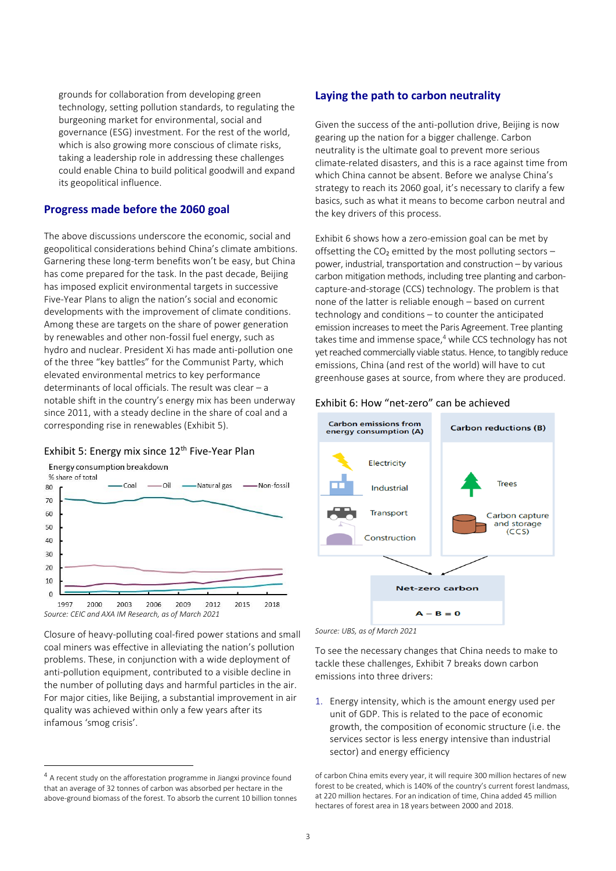grounds for collaboration from developing green technology, setting pollution standards, to regulating the burgeoning market for environmental, social and governance (ESG) investment. For the rest of the world, which is also growing more conscious of climate risks, taking a leadership role in addressing these challenges could enable China to build political goodwill and expand its geopolitical influence.

# **Progress made before the 2060 goal**

The above discussions underscore the economic, social and geopolitical considerations behind China's climate ambitions. Garnering these long-term benefits won't be easy, but China has come prepared for the task. In the past decade, Beijing has imposed explicit environmental targets in successive Five-Year Plans to align the nation's social and economic developments with the improvement of climate conditions. Among these are targets on the share of power generation by renewables and other non-fossil fuel energy, such as hydro and nuclear. President Xi has made anti-pollution one of the three "key battles" for the Communist Party, which elevated environmental metrics to key performance determinants of local officials. The result was clear – a notable shift in the country's energy mix has been underway since 2011, with a steady decline in the share of coal and a corresponding rise in renewables [\(Exhibit 5\)](#page-2-0).

## <span id="page-2-0"></span>Exhibit 5: Energy mix since 12<sup>th</sup> Five-Year Plan

Energy consumption breakdown



Closure of heavy-polluting coal-fired power stations and small coal miners was effective in alleviating the nation's pollution problems. These, in conjunction with a wide deployment of anti-pollution equipment, contributed to a visible decline in the number of polluting days and harmful particles in the air. For major cities, like Beijing, a substantial improvement in air quality was achieved within only a few years after its infamous 'smog crisis'.

## **Laying the path to carbon neutrality**

Given the success of the anti-pollution drive, Beijing is now gearing up the nation for a bigger challenge. Carbon neutrality is the ultimate goal to prevent more serious climate-related disasters, and this is a race against time from which China cannot be absent. Before we analyse China's strategy to reach its 2060 goal, it's necessary to clarify a few basics, such as what it means to become carbon neutral and the key drivers of this process.

[Exhibit 6](#page-2-1) shows how a zero-emission goal can be met by offsetting the  $CO<sub>2</sub>$  emitted by the most polluting sectors power, industrial, transportation and construction – by various carbon mitigation methods, including tree planting and carboncapture-and-storage (CCS) technology. The problem is that none of the latter is reliable enough – based on current technology and conditions – to counter the anticipated emission increases to meet the Paris Agreement. Tree planting takes time and immense space, <sup>4</sup> while CCS technology has not yet reached commercially viable status. Hence, to tangibly reduce emissions, China (and rest of the world) will have to cut greenhouse gases at source, from where they are produced.

#### <span id="page-2-1"></span>Exhibit 6: How "net-zero" can be achieved



*Source: UBS, as of March 2021*

To see the necessary changes that China needs to make to tackle these challenges, [Exhibit 7](#page-3-0) breaks down carbon emissions into three drivers:

1. Energy intensity, which is the amount energy used per unit of GDP. This is related to the pace of economic growth, the composition of economic structure (i.e. the services sector is less energy intensive than industrial sector) and energy efficiency

of carbon China emits every year, it will require 300 million hectares of new forest to be created, which is 140% of the country's current forest landmass, at 220 million hectares. For an indication of time, China added 45 million hectares of forest area in 18 years between 2000 and 2018.

<sup>&</sup>lt;sup>4</sup> A recent study on the afforestation programme in Jiangxi province found that an average of 32 tonnes of carbon was absorbed per hectare in the above-ground biomass of the forest. To absorb the current 10 billion tonnes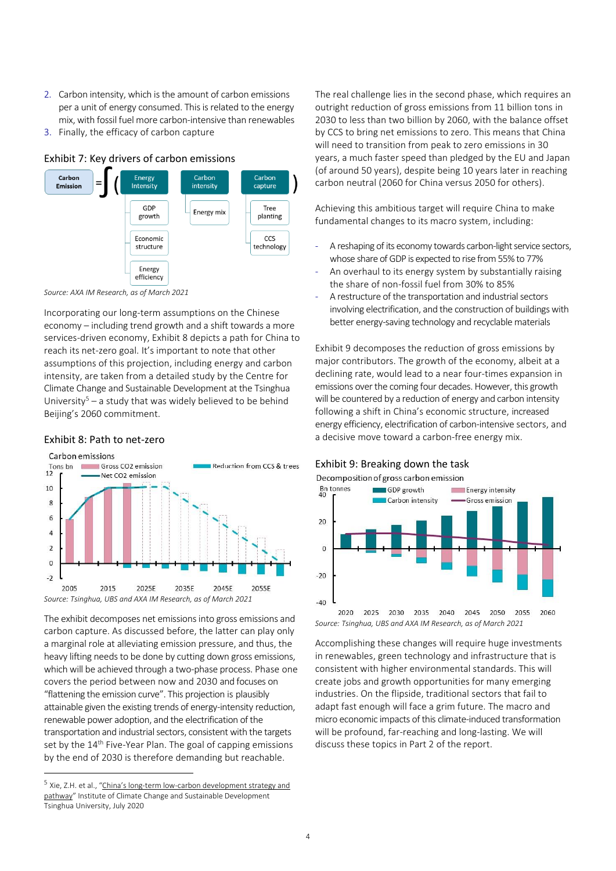- 2. Carbon intensity, which is the amount of carbon emissions per a unit of energy consumed. This is related to the energy mix, with fossil fuel more carbon-intensive than renewables
- 3. Finally, the efficacy of carbon capture

#### <span id="page-3-0"></span>Exhibit 7: Key drivers of carbon emissions



*Source: AXA IM Research, as of March 2021*

Incorporating our long-term assumptions on the Chinese economy – including trend growth and a shift towards a more services-driven economy, [Exhibit 8](#page-3-1) depicts a path for China to reach its net-zero goal. It's important to note that other assumptions of this projection, including energy and carbon intensity, are taken from a detailed study by the Centre for Climate Change and Sustainable Development at the Tsinghua University<sup>5</sup> – a study that was widely believed to be behind Beijing's 2060 commitment.

#### <span id="page-3-1"></span>Exhibit 8: Path to net-zero



The exhibit decomposes net emissions into gross emissions and carbon capture. As discussed before, the latter can play only a marginal role at alleviating emission pressure, and thus, the heavy lifting needs to be done by cutting down gross emissions, which will be achieved through a two-phase process. Phase one covers the period between now and 2030 and focuses on "flattening the emission curve". This projection is plausibly attainable given the existing trends of energy-intensity reduction, renewable power adoption, and the electrification of the transportation and industrial sectors, consistent with the targets set by the 14<sup>th</sup> Five-Year Plan. The goal of capping emissions by the end of 2030 is therefore demanding but reachable.

The real challenge lies in the second phase, which requires an outright reduction of gross emissions from 11 billion tons in 2030 to less than two billion by 2060, with the balance offset by CCS to bring net emissions to zero. This means that China will need to transition from peak to zero emissions in 30 years, a much faster speed than pledged by the EU and Japan (of around 50 years), despite being 10 years later in reaching carbon neutral (2060 for China versus 2050 for others).

Achieving this ambitious target will require China to make fundamental changes to its macro system, including:

- A reshaping of its economy towards carbon-light service sectors, whose share of GDP is expected to rise from 55% to 77%
- An overhaul to its energy system by substantially raising the share of non-fossil fuel from 30% to 85%
- A restructure of the transportation and industrial sectors involving electrification, and the construction of buildings with [better energy-saving technology and recyclable materials](#page-3-2)

[Exhibit 9](#page-3-2) decomposes the reduction of gross emissions by major contributors. The growth of the economy, albeit at a declining rate, would lead to a near four-times expansion in emissions over the coming four decades. However, this growth will be countered by a reduction of energy and carbon intensity following a shift in China's economic structure, increased energy efficiency, electrification of carbon-intensive sectors, and a decisive move toward a carbon-free energy mix.

#### <span id="page-3-2"></span>Exhibit 9: Breaking down the task





*Source: Tsinghua, UBS and AXA IM Research, as of March 2021*

Accomplishing these changes will require huge investments in renewables, green technology and infrastructure that is consistent with higher environmental standards. This will create jobs and growth opportunities for many emerging industries. On the flipside, traditional sectors that fail to adapt fast enough will face a grim future. The macro and micro economic impacts of this climate-induced transformation will be profound, far-reaching and long-lasting. We will discuss these topics in Part 2 of the report.

<sup>&</sup>lt;sup>5</sup> Xie, Z.H. et al., "China's long-term low-carbon development strategy and pathway" Institute of Climate Change and Sustainable Development Tsinghua University, July 2020